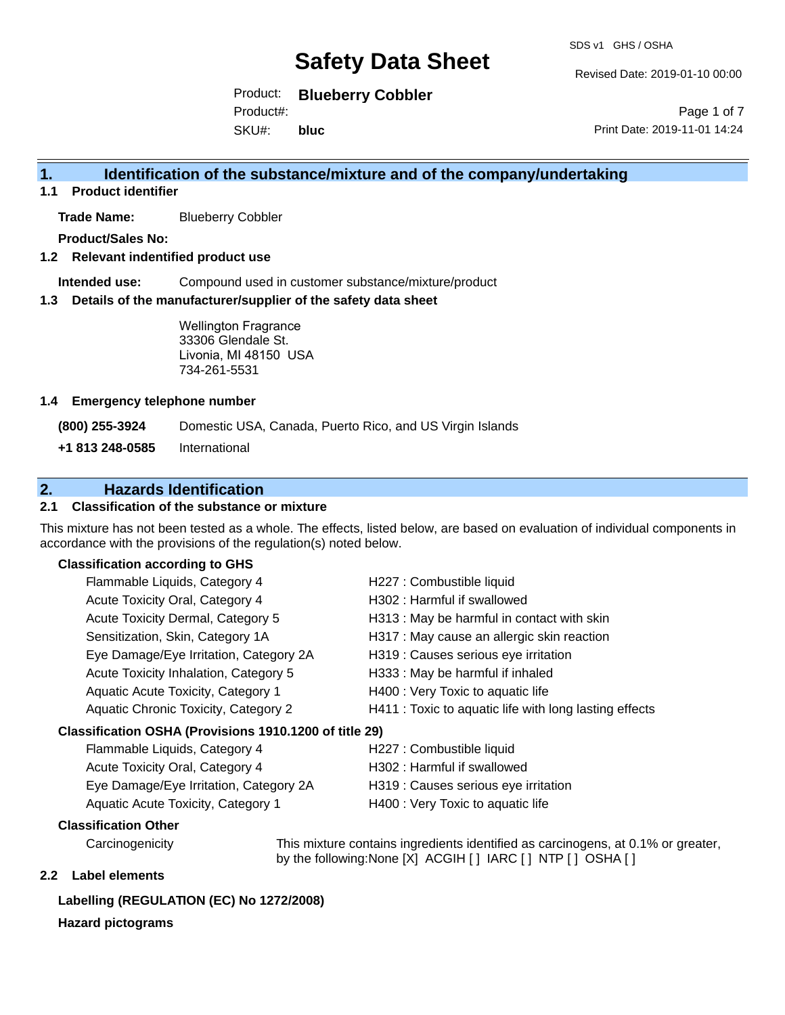Revised Date: 2019-01-10 00:00

Product: **Blueberry Cobbler**  Product#:

SKU#: **bluc**

Page 1 of 7 Print Date: 2019-11-01 14:24

#### **1. Identification of the substance/mixture and of the company/undertaking**

**1.1 Product identifier**

**Trade Name:** Blueberry Cobbler

**Product/Sales No:**

**1.2 Relevant indentified product use**

**Intended use:** Compound used in customer substance/mixture/product

**1.3 Details of the manufacturer/supplier of the safety data sheet**

Wellington Fragrance 33306 Glendale St. Livonia, MI 48150 USA 734-261-5531

#### **1.4 Emergency telephone number**

**(800) 255-3924** Domestic USA, Canada, Puerto Rico, and US Virgin Islands

**+1 813 248-0585** International

#### **2. Hazards Identification**

#### **2.1 Classification of the substance or mixture**

This mixture has not been tested as a whole. The effects, listed below, are based on evaluation of individual components in accordance with the provisions of the regulation(s) noted below.

#### **Classification according to GHS**

| Flammable Liquids, Category 4                          | H227 : Combustible liquid                              |
|--------------------------------------------------------|--------------------------------------------------------|
| Acute Toxicity Oral, Category 4                        | H302: Harmful if swallowed                             |
| Acute Toxicity Dermal, Category 5                      | H313 : May be harmful in contact with skin             |
| Sensitization, Skin, Category 1A                       | H317 : May cause an allergic skin reaction             |
| Eye Damage/Eye Irritation, Category 2A                 | H319 : Causes serious eye irritation                   |
| Acute Toxicity Inhalation, Category 5                  | H333: May be harmful if inhaled                        |
| Aquatic Acute Toxicity, Category 1                     | H400 : Very Toxic to aquatic life                      |
| Aquatic Chronic Toxicity, Category 2                   | H411 : Toxic to aquatic life with long lasting effects |
| Classification OSHA (Provisions 1910.1200 of title 29) |                                                        |
| Flammable Liquids, Category 4                          | H227 : Combustible liquid                              |
| Agute Toviothe Oral Cotogone 4                         | $1909 \cdot 1$ ormful if owellowed                     |

| Fiammable Liquids, Category 4          | <b>HZZI.</b> COMPOSSIBLE IIQUIQ      |
|----------------------------------------|--------------------------------------|
| Acute Toxicity Oral, Category 4        | H302 : Harmful if swallowed          |
| Eye Damage/Eye Irritation, Category 2A | H319 : Causes serious eye irritation |
| Aquatic Acute Toxicity, Category 1     | H400 : Very Toxic to aquatic life    |

#### **Classification Other**

Carcinogenicity This mixture contains ingredients identified as carcinogens, at 0.1% or greater, by the following:None [X] ACGIH [ ] IARC [ ] NTP [ ] OSHA [ ]

#### **2.2 Label elements**

#### **Labelling (REGULATION (EC) No 1272/2008)**

#### **Hazard pictograms**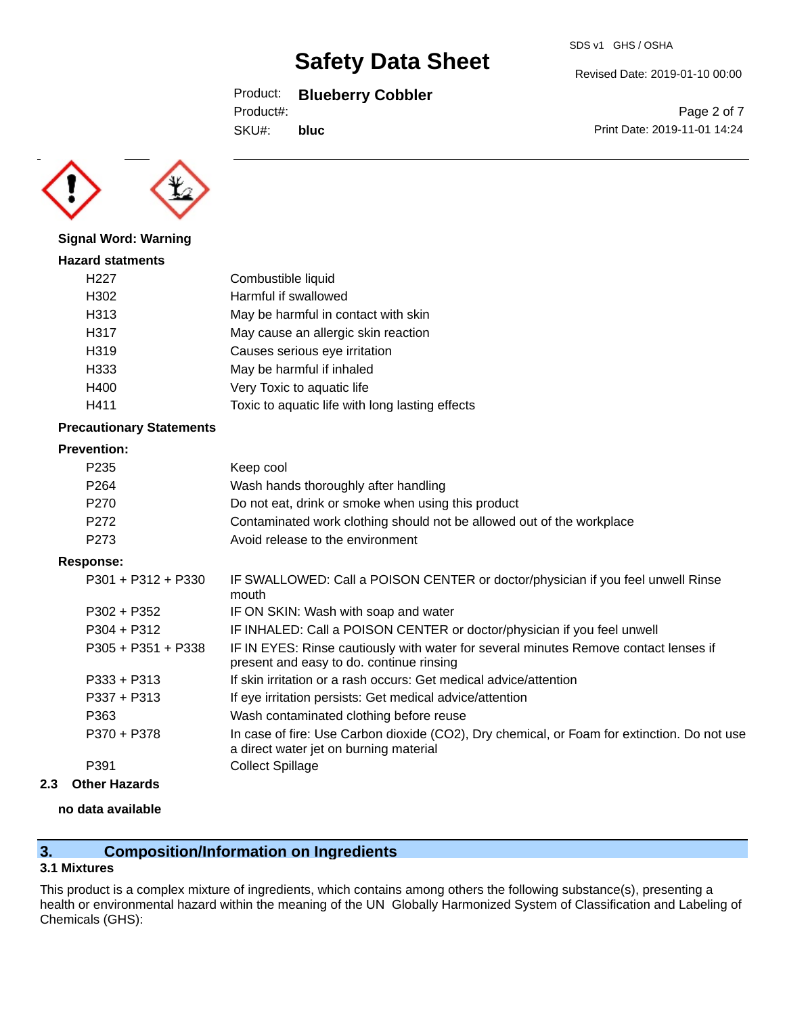#### Product: **Blueberry Cobbler**

Product#:

SKU#: **bluc**

Page 2 of 7 Print Date: 2019-11-01 14:24

**Signal Word: Warning**

**Hazard statments** H227 Combustible liquid H302 Harmful if swallowed H313 May be harmful in contact with skin H317 May cause an allergic skin reaction H319 Causes serious eye irritation H333 May be harmful if inhaled H400 Very Toxic to aquatic life H411 Toxic to aquatic life with long lasting effects

#### **Precautionary Statements**

#### **Prevention:**

| P <sub>235</sub> | Keep cool                                                             |
|------------------|-----------------------------------------------------------------------|
| P <sub>264</sub> | Wash hands thoroughly after handling                                  |
| P <sub>270</sub> | Do not eat, drink or smoke when using this product                    |
| P <sub>272</sub> | Contaminated work clothing should not be allowed out of the workplace |
| P <sub>273</sub> | Avoid release to the environment                                      |

#### **Response:**

| $P301 + P312 + P330$ | IF SWALLOWED: Call a POISON CENTER or doctor/physician if you feel unwell Rinse<br>mouth                                              |
|----------------------|---------------------------------------------------------------------------------------------------------------------------------------|
| $P302 + P352$        | IF ON SKIN: Wash with soap and water                                                                                                  |
| $P304 + P312$        | IF INHALED: Call a POISON CENTER or doctor/physician if you feel unwell                                                               |
| $P305 + P351 + P338$ | IF IN EYES: Rinse cautiously with water for several minutes Remove contact lenses if<br>present and easy to do. continue rinsing      |
| $P333 + P313$        | If skin irritation or a rash occurs: Get medical advice/attention                                                                     |
| $P337 + P313$        | If eye irritation persists: Get medical advice/attention                                                                              |
| P363                 | Wash contaminated clothing before reuse                                                                                               |
| P370 + P378          | In case of fire: Use Carbon dioxide (CO2), Dry chemical, or Foam for extinction. Do not use<br>a direct water jet on burning material |
| P391                 | <b>Collect Spillage</b>                                                                                                               |
|                      |                                                                                                                                       |

**2.3 Other Hazards**

#### **no data available**

#### **3. Composition/Information on Ingredients**

#### **3.1 Mixtures**

This product is a complex mixture of ingredients, which contains among others the following substance(s), presenting a health or environmental hazard within the meaning of the UN Globally Harmonized System of Classification and Labeling of Chemicals (GHS):



Revised Date: 2019-01-10 00:00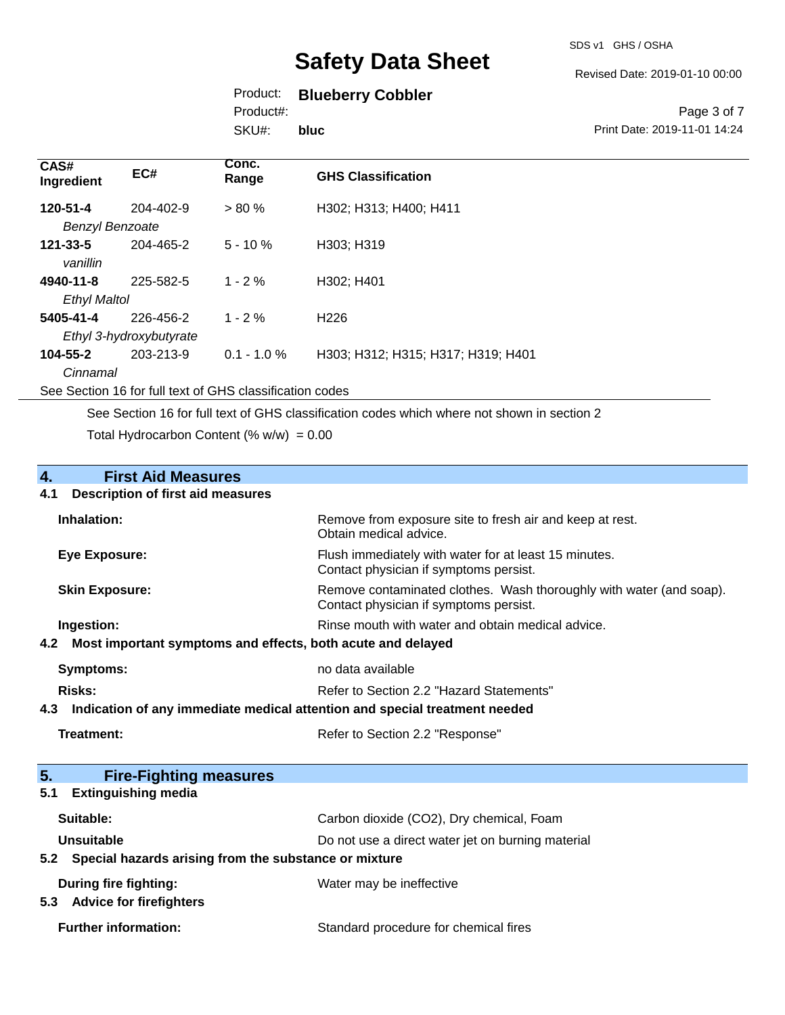#### Revised Date: 2019-01-10 00:00

#### Product: **Blueberry Cobbler**

Product#:

SKU#: **bluc**

#### Page 3 of 7 Print Date: 2019-11-01 14:24

| CAS#<br>Ingredient                 | EC#                                  | Conc.<br>Range | <b>GHS Classification</b>          |
|------------------------------------|--------------------------------------|----------------|------------------------------------|
| 120-51-4<br><b>Benzyl Benzoate</b> | 204-402-9                            | $> 80 \%$      | H302; H313; H400; H411             |
| $121 - 33 - 5$<br>vanillin         | 204-465-2                            | $5 - 10%$      | H303; H319                         |
| 4940-11-8<br><b>Ethyl Maltol</b>   | 225-582-5                            | $1 - 2\%$      | H302; H401                         |
| 5405-41-4                          | 226-456-2<br>Ethyl 3-hydroxybutyrate | $1 - 2\%$      | H <sub>226</sub>                   |
| 104-55-2<br>Cinnamal               | 203-213-9                            | $0.1 - 1.0 %$  | H303; H312; H315; H317; H319; H401 |

See Section 16 for full text of GHS classification codes

See Section 16 for full text of GHS classification codes which where not shown in section 2

Total Hydrocarbon Content (%  $w/w$ ) = 0.00

# **4.** First Aid Measures<br>**4.1** Description of first aid meas

#### **4.1 Description of first aid measures**

| Inhalation:           | Remove from exposure site to fresh air and keep at rest.<br>Obtain medical advice.                            |
|-----------------------|---------------------------------------------------------------------------------------------------------------|
| Eye Exposure:         | Flush immediately with water for at least 15 minutes.<br>Contact physician if symptoms persist.               |
| <b>Skin Exposure:</b> | Remove contaminated clothes. Wash thoroughly with water (and soap).<br>Contact physician if symptoms persist. |
| Ingestion:            | Rinse mouth with water and obtain medical advice.                                                             |
|                       | 4.2 Most important symptoms and effects, both acute and delayed                                               |
| Symptoms:             | no data available                                                                                             |
| Risks:                | Refer to Section 2.2 "Hazard Statements"                                                                      |

**4.3 Indication of any immediate medical attention and special treatment needed**

| Treatment: | Refer to Section 2.2 "Response" |
|------------|---------------------------------|
|------------|---------------------------------|

| Refer to Section 2.2 "Response" |  |  |
|---------------------------------|--|--|
|---------------------------------|--|--|

| 5.<br><b>Fire-Fighting measures</b>                       |                                                   |
|-----------------------------------------------------------|---------------------------------------------------|
| <b>Extinguishing media</b><br>5.1                         |                                                   |
| Suitable:                                                 | Carbon dioxide (CO2), Dry chemical, Foam          |
| Unsuitable                                                | Do not use a direct water jet on burning material |
| 5.2 Special hazards arising from the substance or mixture |                                                   |
| During fire fighting:                                     | Water may be ineffective                          |
| <b>Advice for firefighters</b><br>5.3                     |                                                   |
| <b>Further information:</b>                               | Standard procedure for chemical fires             |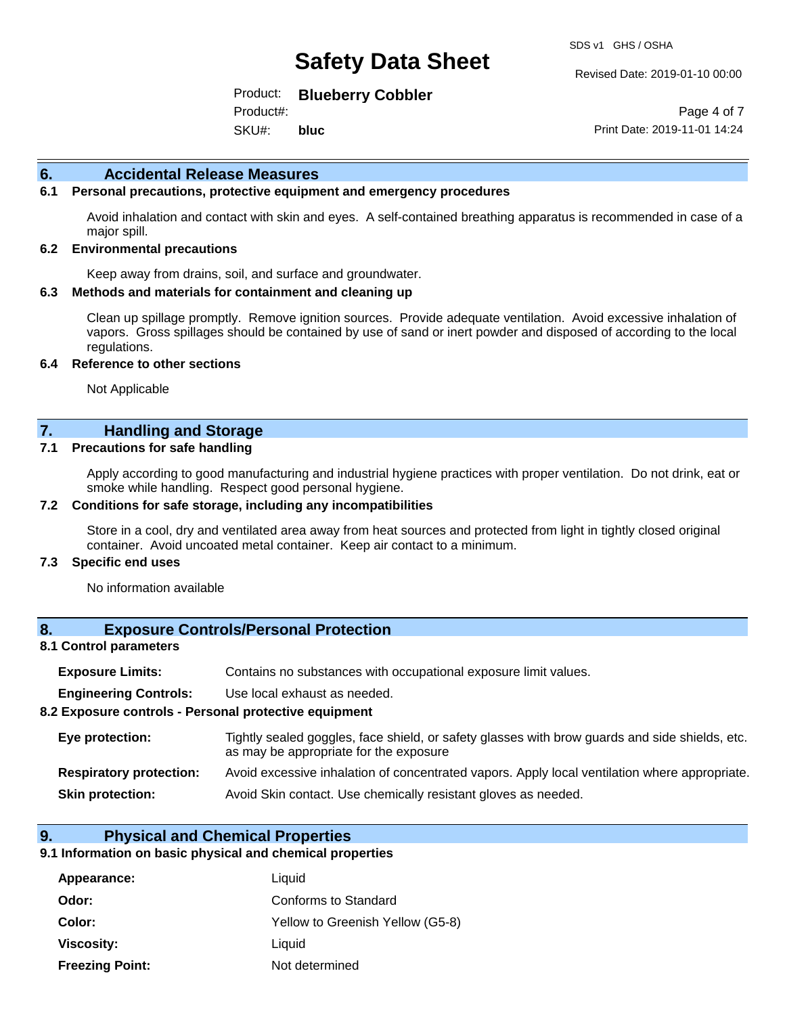Revised Date: 2019-01-10 00:00

Product: **Blueberry Cobbler** 

SKU#: Product#: **bluc**

Page 4 of 7 Print Date: 2019-11-01 14:24

#### **6. Accidental Release Measures**

#### **6.1 Personal precautions, protective equipment and emergency procedures**

Avoid inhalation and contact with skin and eyes. A self-contained breathing apparatus is recommended in case of a major spill.

#### **6.2 Environmental precautions**

Keep away from drains, soil, and surface and groundwater.

#### **6.3 Methods and materials for containment and cleaning up**

Clean up spillage promptly. Remove ignition sources. Provide adequate ventilation. Avoid excessive inhalation of vapors. Gross spillages should be contained by use of sand or inert powder and disposed of according to the local regulations.

#### **6.4 Reference to other sections**

Not Applicable

#### **7. Handling and Storage**

#### **7.1 Precautions for safe handling**

Apply according to good manufacturing and industrial hygiene practices with proper ventilation. Do not drink, eat or smoke while handling. Respect good personal hygiene.

#### **7.2 Conditions for safe storage, including any incompatibilities**

Store in a cool, dry and ventilated area away from heat sources and protected from light in tightly closed original container. Avoid uncoated metal container. Keep air contact to a minimum.

#### **7.3 Specific end uses**

No information available

#### **8. Exposure Controls/Personal Protection**

#### **8.1 Control parameters**

| <b>Exposure Limits:</b> |  | Contains no substances with occupational exposure limit values. |  |  |  |
|-------------------------|--|-----------------------------------------------------------------|--|--|--|
|-------------------------|--|-----------------------------------------------------------------|--|--|--|

**Engineering Controls:** Use local exhaust as needed.

#### **8.2 Exposure controls - Personal protective equipment**

| Eye protection:                | Tightly sealed goggles, face shield, or safety glasses with brow guards and side shields, etc.<br>as may be appropriate for the exposure |  |
|--------------------------------|------------------------------------------------------------------------------------------------------------------------------------------|--|
| <b>Respiratory protection:</b> | Avoid excessive inhalation of concentrated vapors. Apply local ventilation where appropriate.                                            |  |
| <b>Skin protection:</b>        | Avoid Skin contact. Use chemically resistant gloves as needed.                                                                           |  |

#### **9. Physical and Chemical Properties**

#### **9.1 Information on basic physical and chemical properties**

| Appearance:            | Liquid                           |
|------------------------|----------------------------------|
| Odor:                  | Conforms to Standard             |
| Color:                 | Yellow to Greenish Yellow (G5-8) |
| Viscosity:             | Liquid                           |
| <b>Freezing Point:</b> | Not determined                   |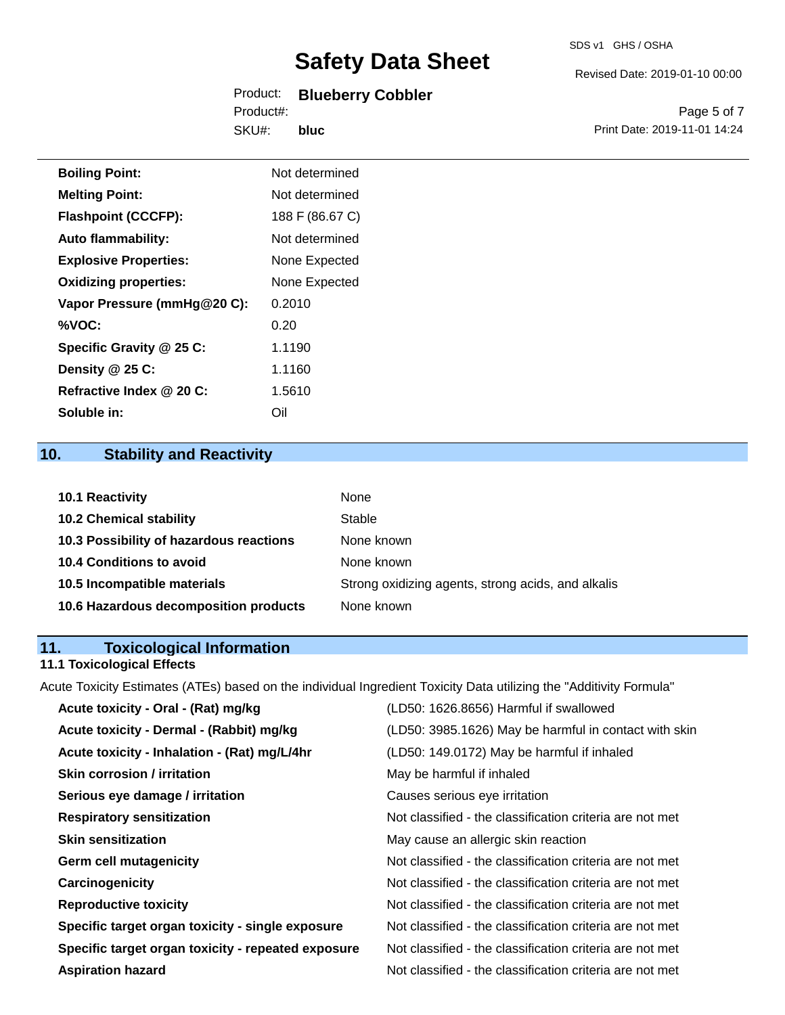#### Product: **Blueberry Cobbler**  Product#:

SKU#: **bluc** Revised Date: 2019-01-10 00:00

Page 5 of 7 Print Date: 2019-11-01 14:24

| <b>Boiling Point:</b>        | Not determined  |
|------------------------------|-----------------|
| <b>Melting Point:</b>        | Not determined  |
| <b>Flashpoint (CCCFP):</b>   | 188 F (86.67 C) |
| <b>Auto flammability:</b>    | Not determined  |
| <b>Explosive Properties:</b> | None Expected   |
| <b>Oxidizing properties:</b> | None Expected   |
| Vapor Pressure (mmHg@20 C):  | 0.2010          |
| %VOC:                        | 0.20            |
| Specific Gravity @ 25 C:     | 1.1190          |
| Density @ 25 C:              | 1.1160          |
| Refractive Index @ 20 C:     | 1.5610          |
| Soluble in:                  | Oil             |

### **10. Stability and Reactivity**

| <b>10.1 Reactivity</b>                  | None                                               |
|-----------------------------------------|----------------------------------------------------|
| <b>10.2 Chemical stability</b>          | Stable                                             |
| 10.3 Possibility of hazardous reactions | None known                                         |
| <b>10.4 Conditions to avoid</b>         | None known                                         |
| 10.5 Incompatible materials             | Strong oxidizing agents, strong acids, and alkalis |
| 10.6 Hazardous decomposition products   | None known                                         |

#### **11. Toxicological Information**

#### **11.1 Toxicological Effects**

Acute Toxicity Estimates (ATEs) based on the individual Ingredient Toxicity Data utilizing the "Additivity Formula"

| Acute toxicity - Oral - (Rat) mg/kg                | (LD50: 1626.8656) Harmful if swallowed                   |
|----------------------------------------------------|----------------------------------------------------------|
| Acute toxicity - Dermal - (Rabbit) mg/kg           | (LD50: 3985.1626) May be harmful in contact with skin    |
| Acute toxicity - Inhalation - (Rat) mg/L/4hr       | (LD50: 149.0172) May be harmful if inhaled               |
| <b>Skin corrosion / irritation</b>                 | May be harmful if inhaled                                |
| Serious eye damage / irritation                    | Causes serious eye irritation                            |
| <b>Respiratory sensitization</b>                   | Not classified - the classification criteria are not met |
| <b>Skin sensitization</b>                          | May cause an allergic skin reaction                      |
| <b>Germ cell mutagenicity</b>                      | Not classified - the classification criteria are not met |
| Carcinogenicity                                    | Not classified - the classification criteria are not met |
| <b>Reproductive toxicity</b>                       | Not classified - the classification criteria are not met |
| Specific target organ toxicity - single exposure   | Not classified - the classification criteria are not met |
| Specific target organ toxicity - repeated exposure | Not classified - the classification criteria are not met |
| <b>Aspiration hazard</b>                           | Not classified - the classification criteria are not met |
|                                                    |                                                          |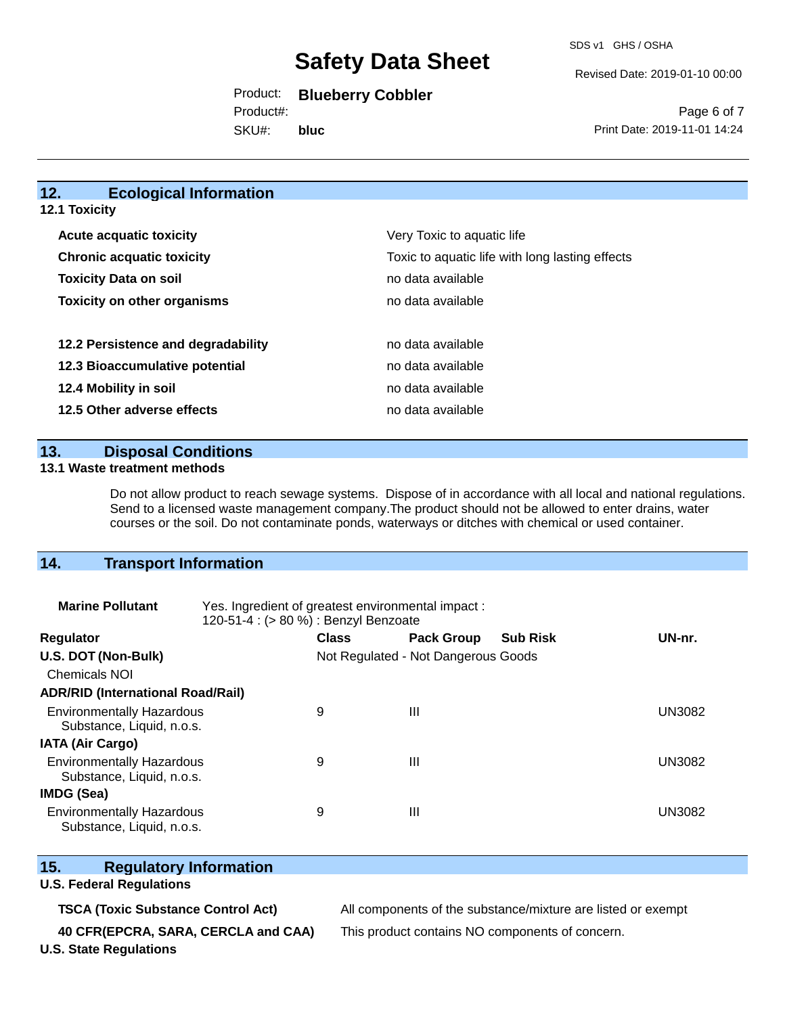SDS v1 GHS / OSHA

Revised Date: 2019-01-10 00:00

#### Product: **Blueberry Cobbler**

SKU#: Product#: **bluc**

Page 6 of 7 Print Date: 2019-11-01 14:24

#### **12. Ecological Information 12.1 Toxicity**

| <b>Acute acquatic toxicity</b>     | Very Toxic to aquatic life                      |
|------------------------------------|-------------------------------------------------|
| <b>Chronic acquatic toxicity</b>   | Toxic to aquatic life with long lasting effects |
| <b>Toxicity Data on soil</b>       | no data available                               |
| <b>Toxicity on other organisms</b> | no data available                               |
|                                    |                                                 |
| 12.2 Persistence and degradability | no data available                               |
| 12.3 Bioaccumulative potential     | no data available                               |
| 12.4 Mobility in soil              | no data available                               |
| 12.5 Other adverse effects         | no data available                               |

**13. Disposal Conditions** 

#### **13.1 Waste treatment methods**

Do not allow product to reach sewage systems. Dispose of in accordance with all local and national regulations. Send to a licensed waste management company.The product should not be allowed to enter drains, water courses or the soil. Do not contaminate ponds, waterways or ditches with chemical or used container.

#### **14. Transport Information**

| <b>Marine Pollutant</b>                                       | Yes. Ingredient of greatest environmental impact:<br>120-51-4 : (> 80 %) : Benzyl Benzoate |                                     |                   |                 |               |
|---------------------------------------------------------------|--------------------------------------------------------------------------------------------|-------------------------------------|-------------------|-----------------|---------------|
| <b>Regulator</b>                                              |                                                                                            | <b>Class</b>                        | <b>Pack Group</b> | <b>Sub Risk</b> | UN-nr.        |
| U.S. DOT (Non-Bulk)                                           |                                                                                            | Not Regulated - Not Dangerous Goods |                   |                 |               |
| <b>Chemicals NOI</b>                                          |                                                                                            |                                     |                   |                 |               |
| <b>ADR/RID (International Road/Rail)</b>                      |                                                                                            |                                     |                   |                 |               |
| <b>Environmentally Hazardous</b><br>Substance, Liquid, n.o.s. |                                                                                            | 9                                   | Ш                 |                 | <b>UN3082</b> |
| <b>IATA (Air Cargo)</b>                                       |                                                                                            |                                     |                   |                 |               |
| <b>Environmentally Hazardous</b><br>Substance, Liquid, n.o.s. |                                                                                            | 9                                   | Ш                 |                 | <b>UN3082</b> |
| <b>IMDG (Sea)</b>                                             |                                                                                            |                                     |                   |                 |               |
| <b>Environmentally Hazardous</b><br>Substance, Liquid, n.o.s. |                                                                                            | 9                                   | Ш                 |                 | UN3082        |

#### **15. Regulatory Information**

#### **U.S. Federal Regulations**

**40 CFR(EPCRA, SARA, CERCLA and CAA)** This product contains NO components of concern.

**TSCA (Toxic Substance Control Act)** All components of the substance/mixture are listed or exempt